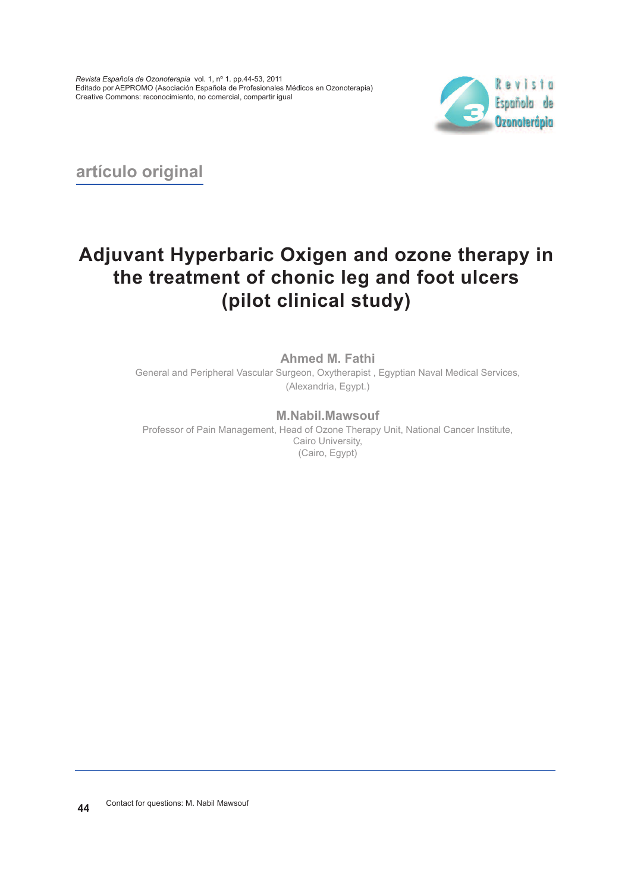

**artículo original**

# **Adjuvant Hyperbaric Oxigen and ozone therapy in the treatment of chonic leg and foot ulcers (pilot clinical study)**

**Ahmed M. Fathi** General and Peripheral Vascular Surgeon, Oxytherapist , Egyptian Naval Medical Services, (Alexandria, Egypt.)

# **M.Nabil.Mawsouf**

Professor of Pain Management, Head of Ozone Therapy Unit, National Cancer Institute, Cairo University, (Cairo, Egypt)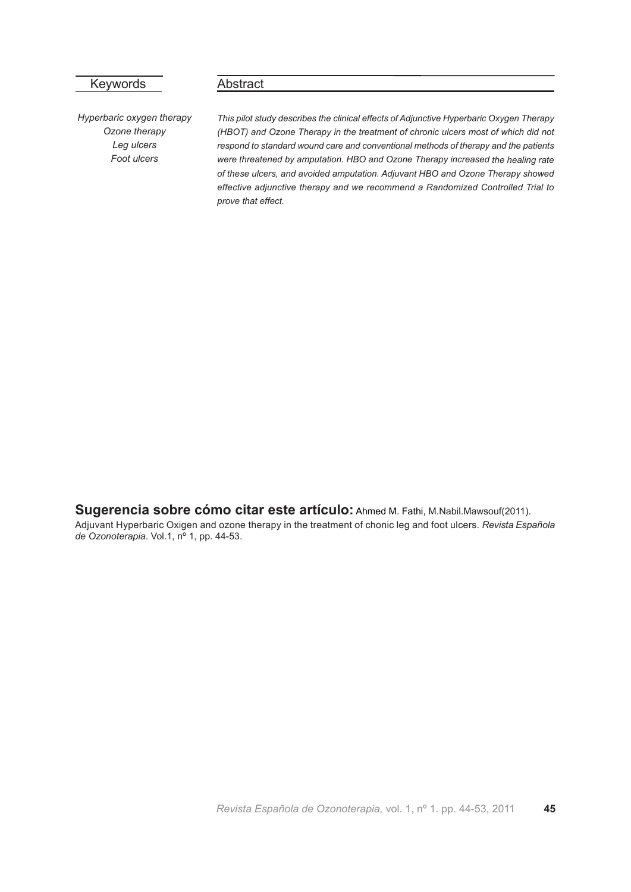# Keywords

*Hyperbaric oxygen therapy Ozone therapy Leg ulcers Foot ulcers*

Abstract

*This pilot study describes the clinical effects of Adjunctive Hyperbaric Oxygen Therapy (HBOT) and Ozone Therapy in the treatment of chronic ulcers most of which did not respond to standard wound care and conventional methods of therapy and the patients were threatened by amputation. HBO and Ozone Therapy increased the healing rate of these ulcers, and avoided amputation. Adjuvant HBO and Ozone Therapy showed effective adjunctive therapy and we recommend <sup>a</sup> Randomized Controlled Trial to prove that effect.*

**Sugerencia sobre cómo citar este artículo:** Ahmed M. Fathi, M.Nabil.Mawsouf(2011). Adjuvant Hyperbaric Oxigen and ozone therapy in the treatment of chonic leg and foot ulcers. *Revista Española de Ozonoterapia*. Vol.1, nº 1, pp. 44-53.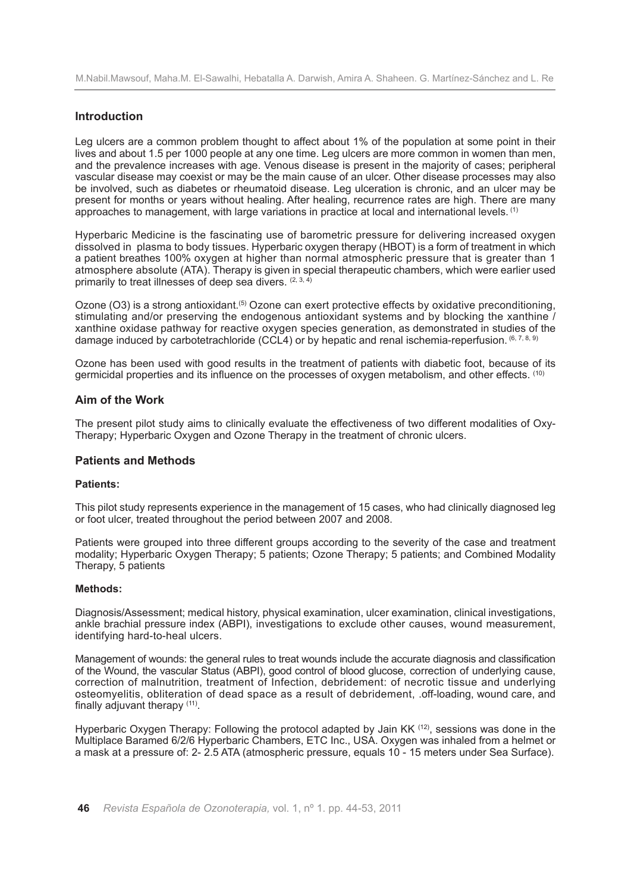# **Introduction**

Leg ulcers are a common problem thought to affect about 1% of the population at some point in their lives and about 1.5 per 1000 people at any one time. Leg ulcers are more common in women than men, and the prevalence increases with age. Venous disease is present in the majority of cases; peripheral vascular disease may coexist or may be the main cause of an ulcer. Other disease processes may also be involved, such as diabetes or rheumatoid disease. Leg ulceration is chronic, and an ulcer may be present for months or years without healing. After healing, recurrence rates are high. There are many approaches to management, with large variations in practice at local and international levels. (1)

Hyperbaric Medicine is the fascinating use of barometric pressure for delivering increased oxygen dissolved in plasma to body tissues. Hyperbaric oxygen therapy (HBOT) is a form of treatment in which a patient breathes 100% oxygen at higher than normal atmospheric pressure that is greater than 1 atmosphere absolute (ATA). Therapy is given in special therapeutic chambers, which were earlier used primarily to treat illnesses of deep sea divers. (2, 3, 4)

Ozone (O3) is a strong antioxidant.<sup>(5)</sup> Ozone can exert protective effects by oxidative preconditioning, stimulating and/or preserving the endogenous antioxidant systems and by blocking the xanthine / xanthine oxidase pathway for reactive oxygen species generation, as demonstrated in studies of the damage induced by carbotetrachloride (CCL4) or by hepatic and renal ischemia-reperfusion. (6, 7, 8, 9)

Ozone has been used with good results in the treatment of patients with diabetic foot, because of its germicidal properties and its influence on the processes of oxygen metabolism, and other effects. (10)

## **Aim of the Work**

The present pilot study aims to clinically evaluate the effectiveness of two different modalities of Oxy-Therapy; Hyperbaric Oxygen and Ozone Therapy in the treatment of chronic ulcers.

#### **Patients and Methods**

#### **Patients:**

This pilot study represents experience in the management of 15 cases, who had clinically diagnosed leg or foot ulcer, treated throughout the period between 2007 and 2008.

Patients were grouped into three different groups according to the severity of the case and treatment modality; Hyperbaric Oxygen Therapy; 5 patients; Ozone Therapy; 5 patients; and Combined Modality Therapy, 5 patients

#### **Methods:**

Diagnosis/Assessment; medical history, physical examination, ulcer examination, clinical investigations, ankle brachial pressure index (ABPI), investigations to exclude other causes, wound measurement, identifying hard-to-heal ulcers.

Management of wounds: the general rules to treat wounds include the accurate diagnosis and classification of the Wound, the vascular Status (ABPI), good control of blood glucose, correction of underlying cause, correction of malnutrition, treatment of Infection, debridement: of necrotic tissue and underlying osteomyelitis, obliteration of dead space as a result of debridement, .off-loading, wound care, and finally adjuvant therapy (11).

Hyperbaric Oxygen Therapy: Following the protocol adapted by Jain KK <sup>(12)</sup>, sessions was done in the Multiplace Baramed 6/2/6 Hyperbaric Chambers, ETC Inc., USA. Oxygen was inhaled from a helmet or a mask at a pressure of: 2- 2.5 ATA (atmospheric pressure, equals 10 - 15 meters under Sea Surface).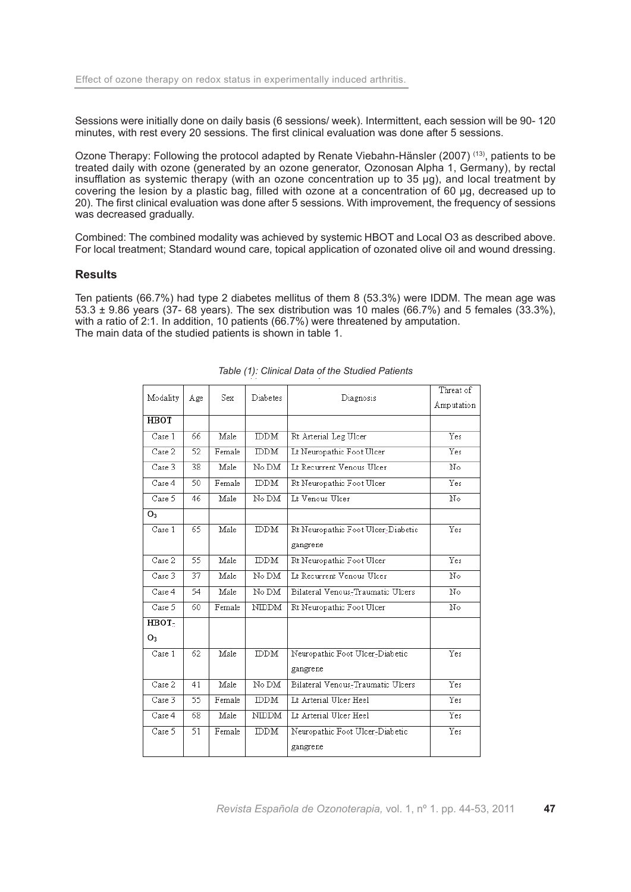Sessions were initially done on daily basis (6 sessions/ week). Intermittent, each session will be 90- 120 minutes, with rest every 20 sessions. The first clinical evaluation was done after 5 sessions.

Ozone Therapy: Following the protocol adapted by Renate Viebahn-Hänsler (2007) (13) , patients to be treated daily with ozone (generated by an ozone generator, Ozonosan Alpha 1, Germany), by rectal insufflation as systemic therapy (with an ozone concentration up to 35 µg), and local treatment by covering the lesion by a plastic bag, filled with ozone at a concentration of 60 µg, decreased up to 20). The first clinical evaluation was done after 5 sessions. With improvement, the frequency of sessions was decreased gradually.

Combined: The combined modality was achieved by systemic HBOT and Local O3 as described above. For local treatment; Standard wound care, topical application of ozonated olive oil and wound dressing.

#### **Results**

Ten patients (66.7%) had type 2 diabetes mellitus of them 8 (53.3%) were IDDM. The mean age was  $53.3 \pm 9.86$  years (37- 68 years). The sex distribution was 10 males (66.7%) and 5 females (33.3%), with a ratio of 2:1. In addition, 10 patients (66.7%) were threatened by amputation. The main data of the studied patients is shown in table 1.

| Modality | Age | Sex    | Diabetes                                    | Diagnosis                          | Threat of<br>Amputation |
|----------|-----|--------|---------------------------------------------|------------------------------------|-------------------------|
| HBOT     |     |        |                                             |                                    |                         |
| Case 1   | 66  | Male   | DDM                                         | Rt Arterial Leg Ulcer              | Yes                     |
| Case 2   | 52  | Female | $\overline{\mathbb{D}\mathbb{D}\mathbb{M}}$ | Lt Neuropathic Foot Ulcer          | Yes                     |
| Case 3   | 38  | Male   | No DM                                       | Lt Recurrent Venous Ulcer          | N0                      |
| Case 4   | 50  | Female | DDM                                         | Rt Neuropathic Foot Ulcer          | Yes                     |
| Case 5   | 46  | Male   | No DM                                       | Lt Venous Ulcer                    | No                      |
| О,       |     |        |                                             |                                    |                         |
| Case 1   | 65. | Male   | DDM                                         | Rt Neuropathic Foot Ulcer-Diabetic | Yes                     |
|          |     |        |                                             | gangrene                           |                         |
| Case 2   | 55  | Male   | IDDM                                        | Rt Neuropathic Foot Ulcer          | Yes                     |
| Case 3   | 37  | Male   | No DM                                       | Lt Recurrent Venous Ulcer          | $\overline{\text{No}}$  |
| Case 4   | 54  | Male   | No DM                                       | Bilateral Venous-Traumatic Ulcers  | $\mathbb{N}^{\circ}$    |
| Case 5   | 60  | Female | <b>NIDDM</b>                                | Rt Neuropathic Foot Ulcer          | $\mathbb{N}^{\circ}$    |
| HBOT-    |     |        |                                             |                                    |                         |
| О.       |     |        |                                             |                                    |                         |
| Case 1   | 62  | Male   | DDM                                         | Neuropathic Foot Ulcer-Diabetic    | Yes                     |
|          |     |        |                                             | gangrene                           |                         |
| Case 2   | 41  | Male   | $\overline{\text{No DM}}$                   | Bilateral Venous-Traumatic Ulcers  | <b>Yes</b>              |
| Case 3   | 55  | Female | DDM                                         | Lt Arterial Ulcer Heel             | <b>Yes</b>              |
| Case 4   | 68  | Male   | NIDDM                                       | Lt Arterial Ulcer Heel             | Yes                     |
| Case 5   | 51  | Female | $\overline{\mathbb{D}\mathbb{D}\mathbb{M}}$ | Neuropathic Foot Ulcer-Diabetic    | Yes                     |
|          |     |        |                                             | gangrene                           |                         |

#### *Table (1): Clinical Data of the Studied Patients*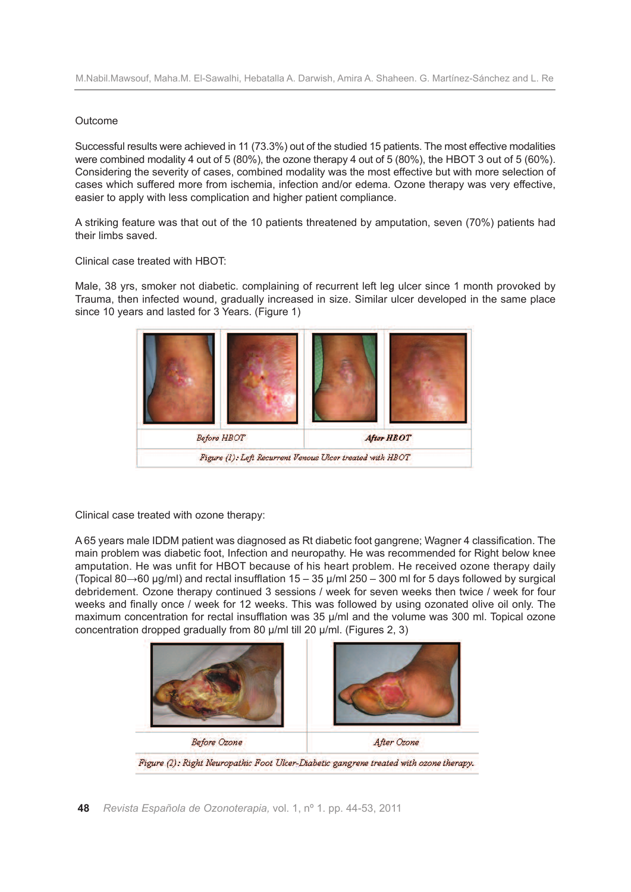#### Outcome

Successful results were achieved in 11 (73.3%) out of the studied 15 patients. The most effective modalities were combined modality 4 out of 5 (80%), the ozone therapy 4 out of 5 (80%), the HBOT 3 out of 5 (60%). Considering the severity of cases, combined modality was the most effective but with more selection of cases which suffered more from ischemia, infection and/or edema. Ozone therapy was very effective, easier to apply with less complication and higher patient compliance.

A striking feature was that out of the 10 patients threatened by amputation, seven (70%) patients had their limbs saved.

Clinical case treated with HBOT:

Male, 38 yrs, smoker not diabetic. complaining of recurrent left leg ulcer since 1 month provoked by Trauma, then infected wound, gradually increased in size. Similar ulcer developed in the same place since 10 years and lasted for 3 Years. (Figure 1)



Clinical case treated with ozone therapy:

A 65 years male IDDM patient was diagnosed as Rt diabetic foot gangrene; Wagner 4 classification. The main problem was diabetic foot, Infection and neuropathy. He was recommended for Right below knee amputation. He was unfit for HBOT because of his heart problem. He received ozone therapy daily (Topical 80→60 µg/ml) and rectal insufflation 15 – 35 µ/ml 250 – 300 ml for 5 days followed by surgical debridement. Ozone therapy continued 3 sessions / week for seven weeks then twice / week for four weeks and finally once / week for 12 weeks. This was followed by using ozonated olive oil only. The maximum concentration for rectal insufflation was 35 µ/ml and the volume was 300 ml. Topical ozone concentration dropped gradually from 80 µ/ml till 20 µ/ml. (Figures 2, 3)



**48** *Revista Española de Ozonoterapia,* vol. 1, nº 1. pp. 44-53, 2011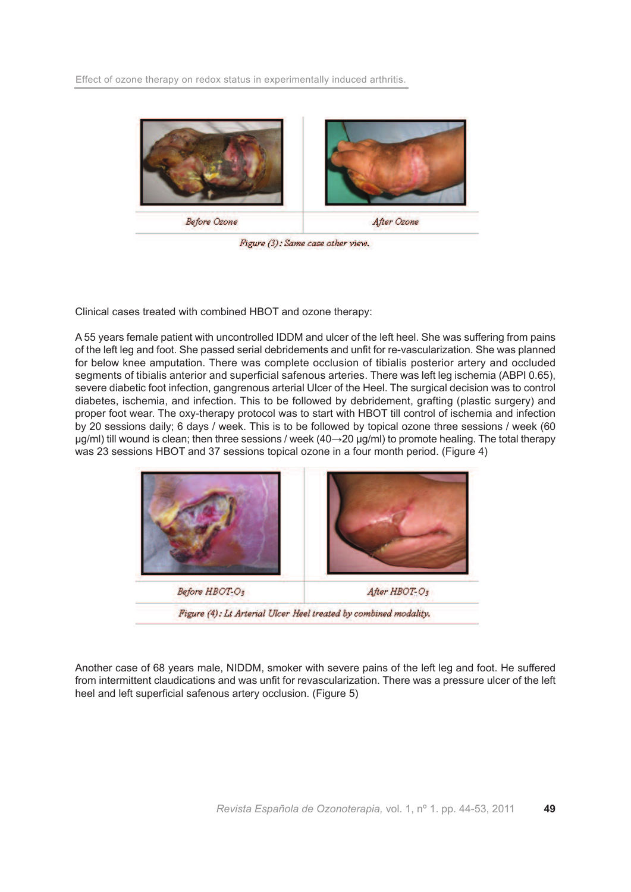Effect of ozone therapy on redox status in experimentally induced arthritis.



Figure (3): Same case other view.

Clinical cases treated with combined HBOT and ozone therapy:

A 55 years female patient with uncontrolled IDDM and ulcer of the left heel. She was suffering from pains of the left leg and foot. She passed serial debridements and unfit for re-vascularization. She was planned for below knee amputation. There was complete occlusion of tibialis posterior artery and occluded segments of tibialis anterior and superficial safenous arteries. There was left leg ischemia (ABPI 0.65), severe diabetic foot infection, gangrenous arterial Ulcer of the Heel. The surgical decision was to control diabetes, ischemia, and infection. This to be followed by debridement, grafting (plastic surgery) and proper foot wear. The oxy-therapy protocol was to start with HBOT till control of ischemia and infection by 20 sessions daily; 6 days / week. This is to be followed by topical ozone three sessions / week (60 µg/ml) till wound is clean; then three sessions / week (40→20 µg/ml) to promote healing. The total therapy was 23 sessions HBOT and 37 sessions topical ozone in a four month period. (Figure 4)



Another case of 68 years male, NIDDM, smoker with severe pains of the left leg and foot. He suffered from intermittent claudications and was unfit for revascularization. There was a pressure ulcer of the left heel and left superficial safenous artery occlusion. (Figure 5)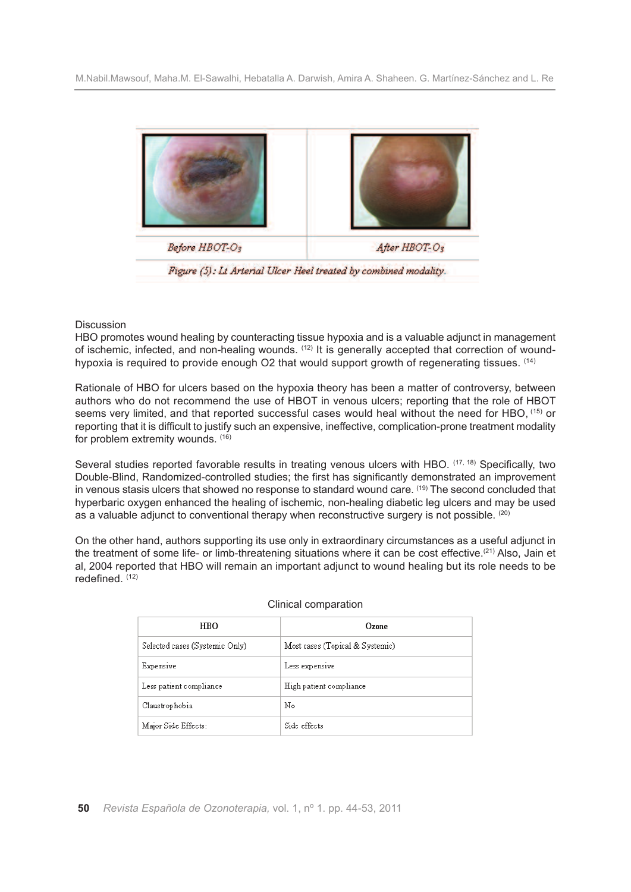

#### Discussion

HBO promotes wound healing by counteracting tissue hypoxia and is a valuable adjunct in management of ischemic, infected, and non-healing wounds. (12) It is generally accepted that correction of woundhypoxia is required to provide enough O2 that would support growth of regenerating tissues. <sup>(14)</sup>

Rationale of HBO for ulcers based on the hypoxia theory has been a matter of controversy, between authors who do not recommend the use of HBOT in venous ulcers; reporting that the role of HBOT seems very limited, and that reported successful cases would heal without the need for HBO, <sup>(15)</sup> or reporting that it is difficult to justify such an expensive, ineffective, complication-prone treatment modality for problem extremity wounds. (16)

Several studies reported favorable results in treating venous ulcers with HBO. (17, 18) Specifically, two Double-Blind, Randomized-controlled studies; the first has significantly demonstrated an improvement in venous stasis ulcers that showed no response to standard wound care. (19) The second concluded that hyperbaric oxygen enhanced the healing of ischemic, non-healing diabetic leg ulcers and may be used as a valuable adjunct to conventional therapy when reconstructive surgery is not possible. (20)

On the other hand, authors supporting its use only in extraordinary circumstances as a useful adjunct in the treatment of some life- or limb-threatening situations where it can be cost effective.<sup>(21)</sup> Also, Jain et al, 2004 reported that HBO will remain an important adjunct to wound healing but its role needs to be redefined $(12)$ 

| <b>HBO</b>                     | Ozone                           |
|--------------------------------|---------------------------------|
| Selected cases (Systemic Only) | Most cases (Topical & Systemic) |
| Expensive                      | Less expensive                  |
| Less patient compliance        | High patient compliance         |
| Claustrophobia                 | No                              |
| Major Side Effects:            | Side effects                    |

#### Clinical comparation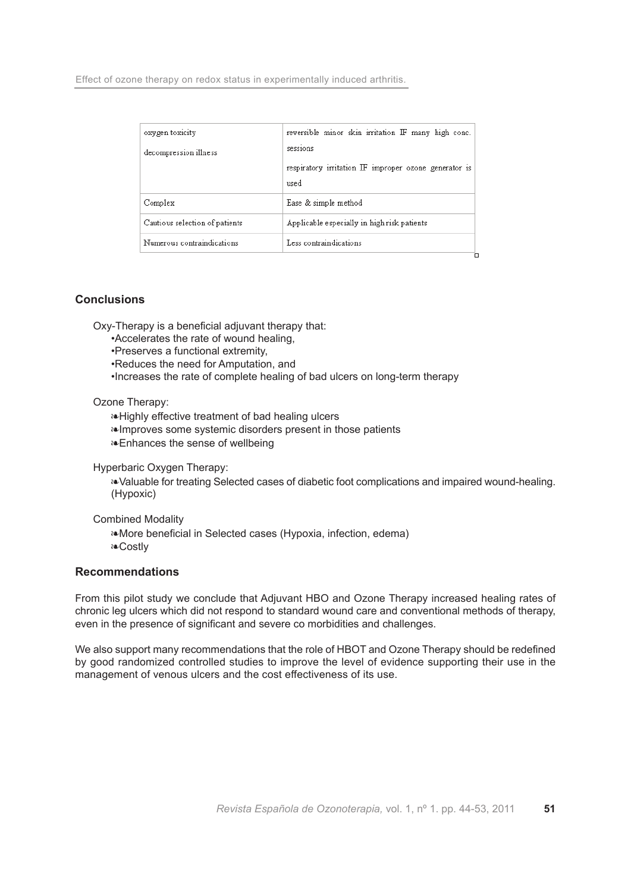Effect of ozone therapy on redox status in experimentally induced arthritis.

| reversible minor skin irritation IF many high conc.   |  |
|-------------------------------------------------------|--|
| sessions                                              |  |
| respiratory irritation IF improper ozone generator is |  |
| used                                                  |  |
| Ease & simple method                                  |  |
| Applicable especially in high risk patients           |  |
| Less contraindications                                |  |
|                                                       |  |

# **Conclusions**

Oxy-Therapy is a beneficial adjuvant therapy that:

- •Accelerates the rate of wound healing,
- •Preserves a functional extremity,
- •Reduces the need for Amputation, and
- •Increases the rate of complete healing of bad ulcers on long-term therapy

## Ozone Therapy:

- **a**-Highly effective treatment of bad healing ulcers
- Improves some systemic disorders present in those patients
- Enhances the sense of wellbeing

## Hyperbaric Oxygen Therapy:

Valuable for treating Selected cases of diabetic foot complications and impaired wound-healing. (Hypoxic)

Combined Modality

More beneficial in Selected cases (Hypoxia, infection, edema) Costly

## **Recommendations**

From this pilot study we conclude that Adjuvant HBO and Ozone Therapy increased healing rates of chronic leg ulcers which did not respond to standard wound care and conventional methods of therapy, even in the presence of significant and severe co morbidities and challenges.

We also support many recommendations that the role of HBOT and Ozone Therapy should be redefined by good randomized controlled studies to improve the level of evidence supporting their use in the management of venous ulcers and the cost effectiveness of its use.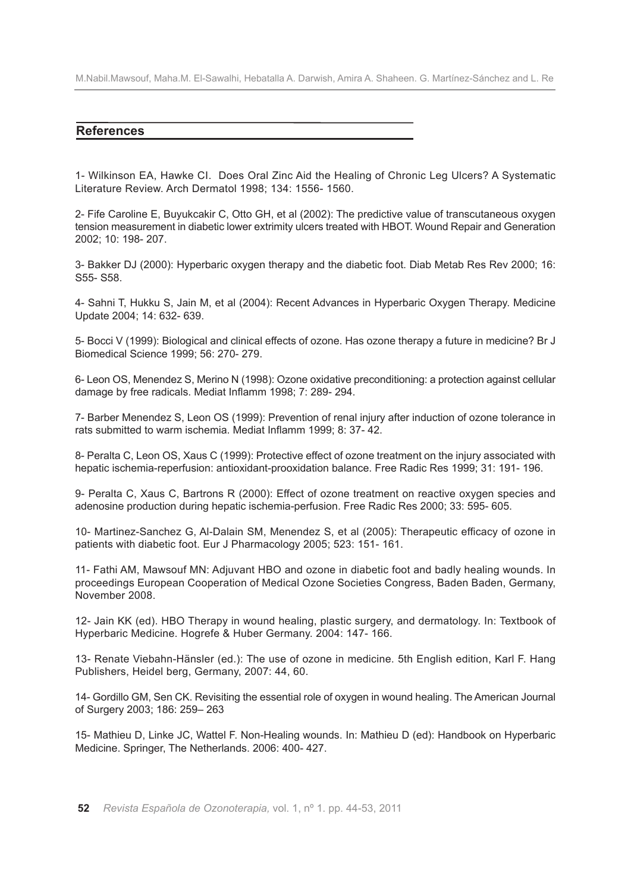#### **References**

1- Wilkinson EA, Hawke CI. Does Oral Zinc Aid the Healing of Chronic Leg Ulcers? A Systematic Literature Review. Arch Dermatol 1998; 134: 1556- 1560.

2- Fife Caroline E, Buyukcakir C, Otto GH, et al (2002): The predictive value of transcutaneous oxygen tension measurement in diabetic lower extrimity ulcers treated with HBOT. Wound Repair and Generation 2002; 10: 198- 207.

3- Bakker DJ (2000): Hyperbaric oxygen therapy and the diabetic foot. Diab Metab Res Rev 2000; 16: S55- S58.

4- Sahni T, Hukku S, Jain M, et al (2004): Recent Advances in Hyperbaric Oxygen Therapy. Medicine Update 2004; 14: 632- 639.

5- Bocci V (1999): Biological and clinical effects of ozone. Has ozone therapy a future in medicine? Br J Biomedical Science 1999; 56: 270- 279.

6- Leon OS, Menendez S, Merino N (1998): Ozone oxidative preconditioning: a protection against cellular damage by free radicals. Mediat Inflamm 1998; 7: 289- 294.

7- Barber Menendez S, Leon OS (1999): Prevention of renal injury after induction of ozone tolerance in rats submitted to warm ischemia. Mediat Inflamm 1999; 8: 37- 42.

8- Peralta C, Leon OS, Xaus C (1999): Protective effect of ozone treatment on the injury associated with hepatic ischemia-reperfusion: antioxidant-prooxidation balance. Free Radic Res 1999; 31: 191- 196.

9- Peralta C, Xaus C, Bartrons R (2000): Effect of ozone treatment on reactive oxygen species and adenosine production during hepatic ischemia-perfusion. Free Radic Res 2000; 33: 595- 605.

10- Martinez-Sanchez G, Al-Dalain SM, Menendez S, et al (2005): Therapeutic efficacy of ozone in patients with diabetic foot. Eur J Pharmacology 2005; 523: 151- 161.

11- Fathi AM, Mawsouf MN: Adjuvant HBO and ozone in diabetic foot and badly healing wounds. In proceedings European Cooperation of Medical Ozone Societies Congress, Baden Baden, Germany, November 2008.

12- Jain KK (ed). HBO Therapy in wound healing, plastic surgery, and dermatology. In: Textbook of Hyperbaric Medicine. Hogrefe & Huber Germany. 2004: 147- 166.

13- Renate Viebahn-Hänsler (ed.): The use of ozone in medicine. 5th English edition, Karl F. Hang Publishers, Heidel berg, Germany, 2007: 44, 60.

14- Gordillo GM, Sen CK. Revisiting the essential role of oxygen in wound healing. The American Journal of Surgery 2003; 186: 259– 263

15- Mathieu D, Linke JC, Wattel F. Non-Healing wounds. In: Mathieu D (ed): Handbook on Hyperbaric Medicine. Springer, The Netherlands. 2006: 400- 427.